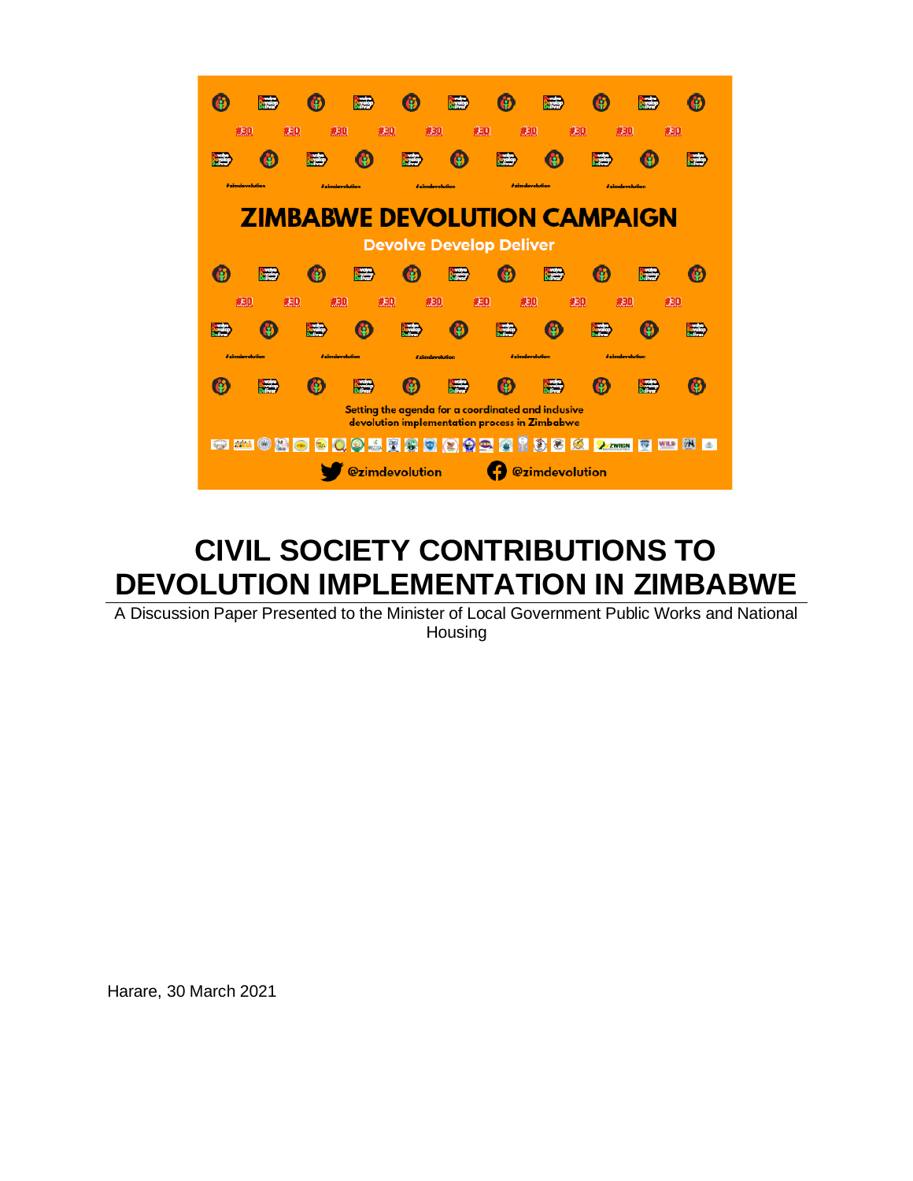

# **CIVIL SOCIETY CONTRIBUTIONS TO DEVOLUTION IMPLEMENTATION IN ZIMBABWE**

A Discussion Paper Presented to the Minister of Local Government Public Works and National Housing

Harare, 30 March 2021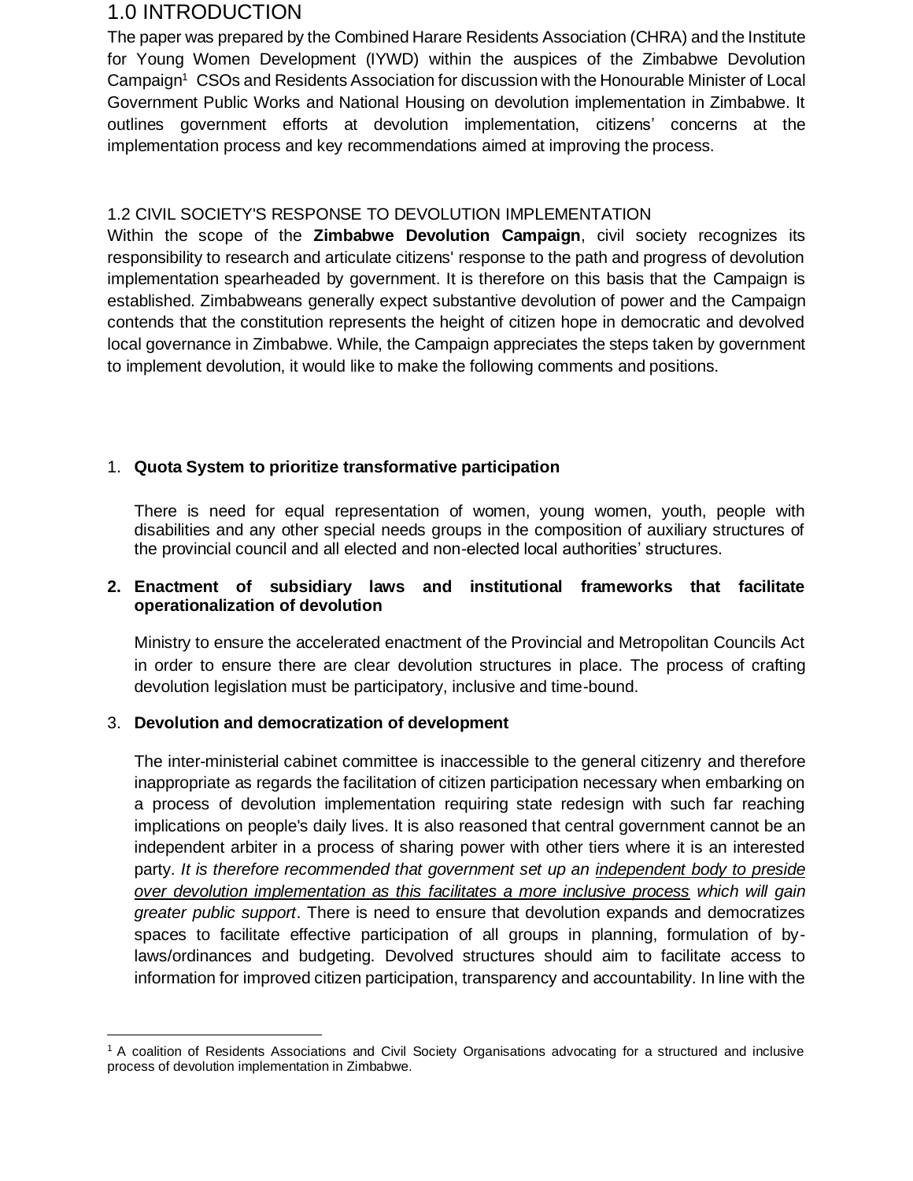# 1.0 INTRODUCTION

The paper was prepared by the Combined Harare Residents Association (CHRA) and the Institute for Young Women Development (IYWD) within the auspices of the Zimbabwe Devolution Campaign<sup>1</sup> CSOs and Residents Association for discussion with the Honourable Minister of Local Government Public Works and National Housing on devolution implementation in Zimbabwe. It outlines government efforts at devolution implementation, citizens' concerns at the implementation process and key recommendations aimed at improving the process.

## 1.2 CIVIL SOCIETY'S RESPONSE TO DEVOLUTION IMPLEMENTATION

Within the scope of the **Zimbabwe Devolution Campaign**, civil society recognizes its responsibility to research and articulate citizens' response to the path and progress of devolution implementation spearheaded by government. It is therefore on this basis that the Campaign is established. Zimbabweans generally expect substantive devolution of power and the Campaign contends that the constitution represents the height of citizen hope in democratic and devolved local governance in Zimbabwe. While, the Campaign appreciates the steps taken by government to implement devolution, it would like to make the following comments and positions.

## 1. **Quota System to prioritize transformative participation**

There is need for equal representation of women, young women, youth, people with disabilities and any other special needs groups in the composition of auxiliary structures of the provincial council and all elected and non-elected local authorities' structures.

## **2. Enactment of subsidiary laws and institutional frameworks that facilitate operationalization of devolution**

Ministry to ensure the accelerated enactment of the Provincial and Metropolitan Councils Act in order to ensure there are clear devolution structures in place. The process of crafting devolution legislation must be participatory, inclusive and time-bound.

## 3. **Devolution and democratization of development**

The inter-ministerial cabinet committee is inaccessible to the general citizenry and therefore inappropriate as regards the facilitation of citizen participation necessary when embarking on a process of devolution implementation requiring state redesign with such far reaching implications on people's daily lives. It is also reasoned that central government cannot be an independent arbiter in a process of sharing power with other tiers where it is an interested party. *It is therefore recommended that government set up an independent body to preside over devolution implementation as this facilitates a more inclusive process which will gain greater public support*. There is need to ensure that devolution expands and democratizes spaces to facilitate effective participation of all groups in planning, formulation of bylaws/ordinances and budgeting. Devolved structures should aim to facilitate access to information for improved citizen participation, transparency and accountability. In line with the

<sup>1</sup> A coalition of Residents Associations and Civil Society Organisations advocating for a structured and inclusive process of devolution implementation in Zimbabwe.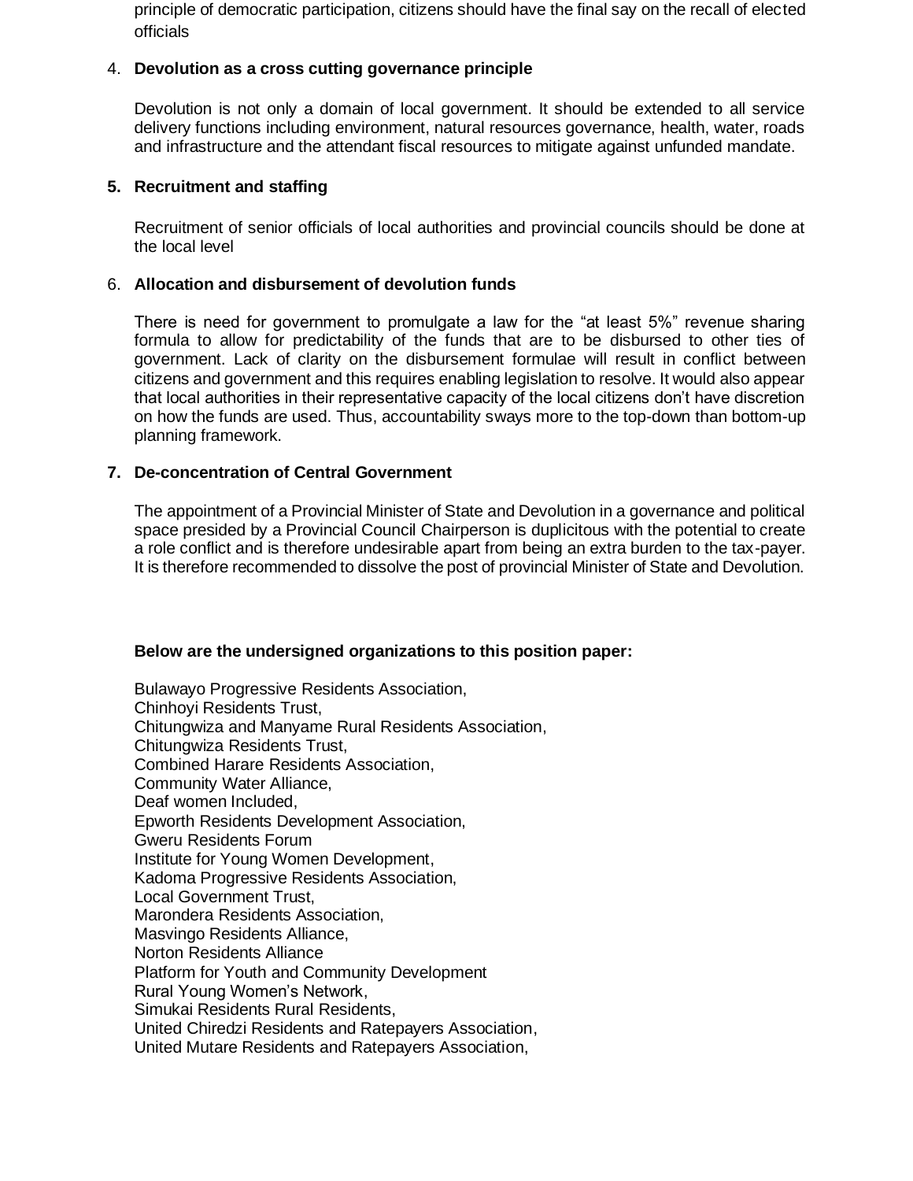principle of democratic participation, citizens should have the final say on the recall of elected officials

### 4. **Devolution as a cross cutting governance principle**

Devolution is not only a domain of local government. It should be extended to all service delivery functions including environment, natural resources governance, health, water, roads and infrastructure and the attendant fiscal resources to mitigate against unfunded mandate.

#### **5. Recruitment and staffing**

Recruitment of senior officials of local authorities and provincial councils should be done at the local level

### 6. **Allocation and disbursement of devolution funds**

There is need for government to promulgate a law for the "at least 5%" revenue sharing formula to allow for predictability of the funds that are to be disbursed to other ties of government. Lack of clarity on the disbursement formulae will result in conflict between citizens and government and this requires enabling legislation to resolve. It would also appear that local authorities in their representative capacity of the local citizens don't have discretion on how the funds are used. Thus, accountability sways more to the top-down than bottom-up planning framework.

### **7. De-concentration of Central Government**

The appointment of a Provincial Minister of State and Devolution in a governance and political space presided by a Provincial Council Chairperson is duplicitous with the potential to create a role conflict and is therefore undesirable apart from being an extra burden to the tax-payer. It is therefore recommended to dissolve the post of provincial Minister of State and Devolution.

#### **Below are the undersigned organizations to this position paper:**

Bulawayo Progressive Residents Association, Chinhoyi Residents Trust, Chitungwiza and Manyame Rural Residents Association, Chitungwiza Residents Trust, Combined Harare Residents Association, Community Water Alliance, Deaf women Included, Epworth Residents Development Association, Gweru Residents Forum Institute for Young Women Development, Kadoma Progressive Residents Association, Local Government Trust, Marondera Residents Association, Masvingo Residents Alliance, Norton Residents Alliance Platform for Youth and Community Development Rural Young Women's Network, Simukai Residents Rural Residents, United Chiredzi Residents and Ratepayers Association, United Mutare Residents and Ratepayers Association,